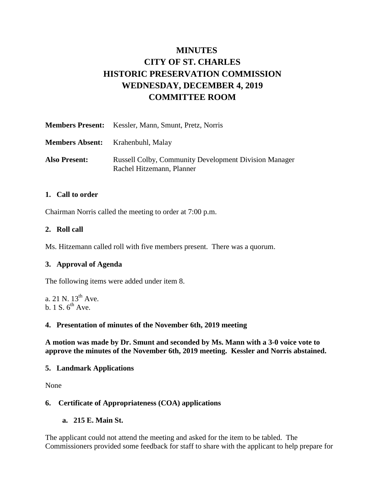# **MINUTES CITY OF ST. CHARLES HISTORIC PRESERVATION COMMISSION WEDNESDAY, DECEMBER 4, 2019 COMMITTEE ROOM**

|                      | <b>Members Present:</b> Kessler, Mann, Smunt, Pretz, Norris                               |
|----------------------|-------------------------------------------------------------------------------------------|
|                      | <b>Members Absent:</b> Krahenbuhl, Malay                                                  |
| <b>Also Present:</b> | <b>Russell Colby, Community Development Division Manager</b><br>Rachel Hitzemann, Planner |

#### **1. Call to order**

Chairman Norris called the meeting to order at 7:00 p.m.

#### **2. Roll call**

Ms. Hitzemann called roll with five members present. There was a quorum.

# **3. Approval of Agenda**

The following items were added under item 8.

a. 21 N.  $13^{th}$  Ave. b. 1 S.  $6^{th}$  Ave.

#### **4. Presentation of minutes of the November 6th, 2019 meeting**

**A motion was made by Dr. Smunt and seconded by Ms. Mann with a 3-0 voice vote to approve the minutes of the November 6th, 2019 meeting. Kessler and Norris abstained.** 

# **5. Landmark Applications**

None

# **6. Certificate of Appropriateness (COA) applications**

**a. 215 E. Main St.** 

The applicant could not attend the meeting and asked for the item to be tabled. The Commissioners provided some feedback for staff to share with the applicant to help prepare for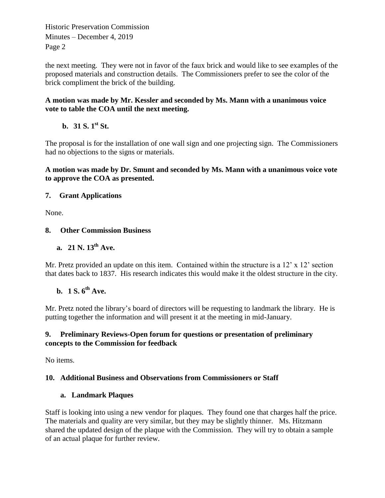Historic Preservation Commission Minutes – December 4, 2019 Page 2

the next meeting. They were not in favor of the faux brick and would like to see examples of the proposed materials and construction details. The Commissioners prefer to see the color of the brick compliment the brick of the building.

# **A motion was made by Mr. Kessler and seconded by Ms. Mann with a unanimous voice vote to table the COA until the next meeting.**

# **b. 31 S.**  $1^{st}$  **St.**

The proposal is for the installation of one wall sign and one projecting sign. The Commissioners had no objections to the signs or materials.

# **A motion was made by Dr. Smunt and seconded by Ms. Mann with a unanimous voice vote to approve the COA as presented.**

# **7. Grant Applications**

None.

# **8. Other Commission Business**

# **a. 21 N. 13th Ave.**

Mr. Pretz provided an update on this item. Contained within the structure is a 12' x 12' section that dates back to 1837. His research indicates this would make it the oldest structure in the city.

# **b. 1 S. 6th Ave.**

Mr. Pretz noted the library's board of directors will be requesting to landmark the library. He is putting together the information and will present it at the meeting in mid-January.

# **9. Preliminary Reviews-Open forum for questions or presentation of preliminary concepts to the Commission for feedback**

No items.

# **10. Additional Business and Observations from Commissioners or Staff**

# **a. Landmark Plaques**

Staff is looking into using a new vendor for plaques. They found one that charges half the price. The materials and quality are very similar, but they may be slightly thinner. Ms. Hitzmann shared the updated design of the plaque with the Commission. They will try to obtain a sample of an actual plaque for further review.